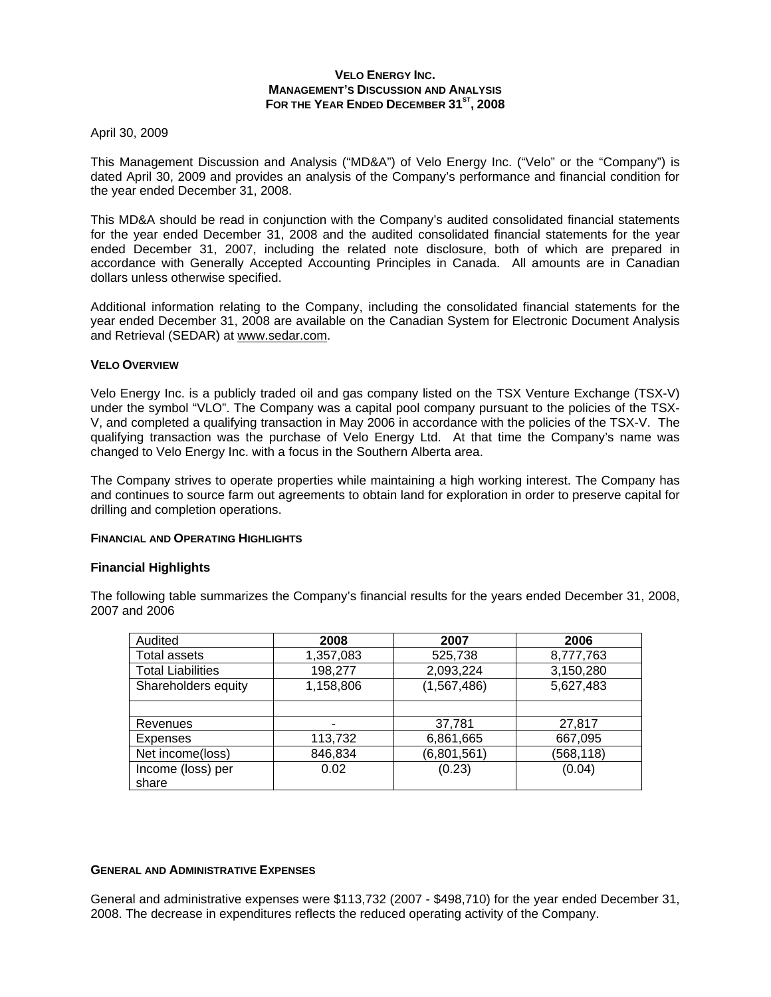## **VELO ENERGY INC. MANAGEMENT'S DISCUSSION AND ANALYSIS**  FOR THE YEAR ENDED DECEMBER 31<sup>st</sup>, 2008

## April 30, 2009

This Management Discussion and Analysis ("MD&A") of Velo Energy Inc. ("Velo" or the "Company") is dated April 30, 2009 and provides an analysis of the Company's performance and financial condition for the year ended December 31, 2008.

This MD&A should be read in conjunction with the Company's audited consolidated financial statements for the year ended December 31, 2008 and the audited consolidated financial statements for the year ended December 31, 2007, including the related note disclosure, both of which are prepared in accordance with Generally Accepted Accounting Principles in Canada. All amounts are in Canadian dollars unless otherwise specified.

Additional information relating to the Company, including the consolidated financial statements for the year ended December 31, 2008 are available on the Canadian System for Electronic Document Analysis and Retrieval (SEDAR) at www.sedar.com.

# **VELO OVERVIEW**

Velo Energy Inc. is a publicly traded oil and gas company listed on the TSX Venture Exchange (TSX-V) under the symbol "VLO". The Company was a capital pool company pursuant to the policies of the TSX-V, and completed a qualifying transaction in May 2006 in accordance with the policies of the TSX-V. The qualifying transaction was the purchase of Velo Energy Ltd. At that time the Company's name was changed to Velo Energy Inc. with a focus in the Southern Alberta area.

The Company strives to operate properties while maintaining a high working interest. The Company has and continues to source farm out agreements to obtain land for exploration in order to preserve capital for drilling and completion operations.

#### **FINANCIAL AND OPERATING HIGHLIGHTS**

# **Financial Highlights**

The following table summarizes the Company's financial results for the years ended December 31, 2008, 2007 and 2006

| Audited                  | 2008      | 2007        | 2006       |
|--------------------------|-----------|-------------|------------|
| <b>Total assets</b>      | 1,357,083 | 525,738     | 8,777,763  |
| <b>Total Liabilities</b> | 198,277   | 2,093,224   | 3,150,280  |
| Shareholders equity      | 1,158,806 | (1,567,486) | 5,627,483  |
|                          |           |             |            |
| Revenues                 |           | 37,781      | 27,817     |
| <b>Expenses</b>          | 113,732   | 6,861,665   | 667,095    |
| Net income(loss)         | 846,834   | (6,801,561) | (568, 118) |
| Income (loss) per        | 0.02      | (0.23)      | (0.04)     |
| share                    |           |             |            |

#### **GENERAL AND ADMINISTRATIVE EXPENSES**

General and administrative expenses were \$113,732 (2007 - \$498,710) for the year ended December 31, 2008. The decrease in expenditures reflects the reduced operating activity of the Company.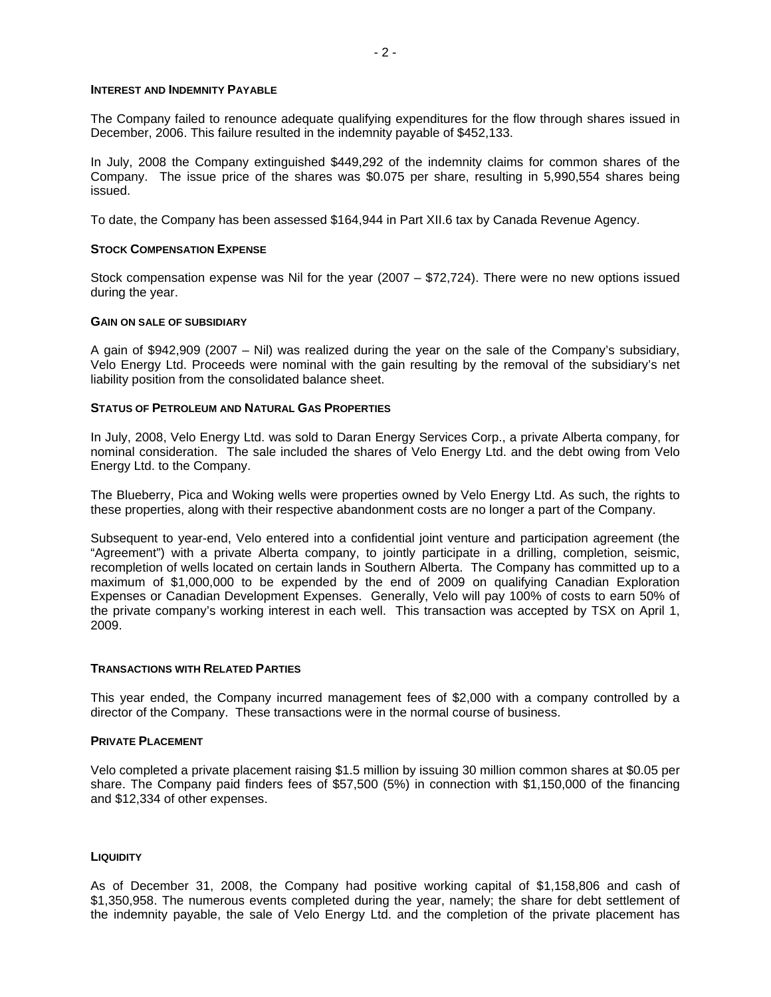#### **INTEREST AND INDEMNITY PAYABLE**

The Company failed to renounce adequate qualifying expenditures for the flow through shares issued in December, 2006. This failure resulted in the indemnity payable of \$452,133.

In July, 2008 the Company extinguished \$449,292 of the indemnity claims for common shares of the Company. The issue price of the shares was \$0.075 per share, resulting in 5,990,554 shares being issued.

To date, the Company has been assessed \$164,944 in Part XII.6 tax by Canada Revenue Agency.

### **STOCK COMPENSATION EXPENSE**

Stock compensation expense was Nil for the year (2007 – \$72,724). There were no new options issued during the year.

#### **GAIN ON SALE OF SUBSIDIARY**

A gain of \$942,909 (2007 – Nil) was realized during the year on the sale of the Company's subsidiary, Velo Energy Ltd. Proceeds were nominal with the gain resulting by the removal of the subsidiary's net liability position from the consolidated balance sheet.

#### **STATUS OF PETROLEUM AND NATURAL GAS PROPERTIES**

In July, 2008, Velo Energy Ltd. was sold to Daran Energy Services Corp., a private Alberta company, for nominal consideration. The sale included the shares of Velo Energy Ltd. and the debt owing from Velo Energy Ltd. to the Company.

The Blueberry, Pica and Woking wells were properties owned by Velo Energy Ltd. As such, the rights to these properties, along with their respective abandonment costs are no longer a part of the Company.

Subsequent to year-end, Velo entered into a confidential joint venture and participation agreement (the "Agreement") with a private Alberta company, to jointly participate in a drilling, completion, seismic, recompletion of wells located on certain lands in Southern Alberta. The Company has committed up to a maximum of \$1,000,000 to be expended by the end of 2009 on qualifying Canadian Exploration Expenses or Canadian Development Expenses. Generally, Velo will pay 100% of costs to earn 50% of the private company's working interest in each well. This transaction was accepted by TSX on April 1, 2009.

#### **TRANSACTIONS WITH RELATED PARTIES**

This year ended, the Company incurred management fees of \$2,000 with a company controlled by a director of the Company. These transactions were in the normal course of business.

#### **PRIVATE PLACEMENT**

Velo completed a private placement raising \$1.5 million by issuing 30 million common shares at \$0.05 per share. The Company paid finders fees of \$57,500 (5%) in connection with \$1,150,000 of the financing and \$12,334 of other expenses.

#### **LIQUIDITY**

As of December 31, 2008, the Company had positive working capital of \$1,158,806 and cash of \$1,350,958. The numerous events completed during the year, namely; the share for debt settlement of the indemnity payable, the sale of Velo Energy Ltd. and the completion of the private placement has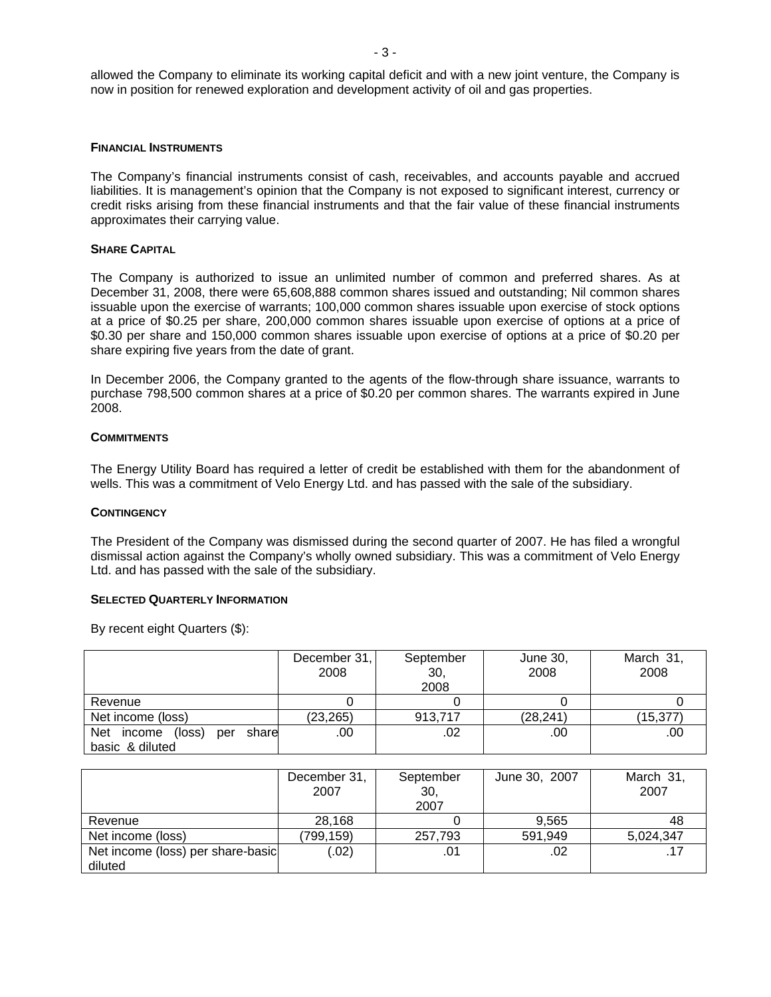allowed the Company to eliminate its working capital deficit and with a new joint venture, the Company is now in position for renewed exploration and development activity of oil and gas properties.

#### **FINANCIAL INSTRUMENTS**

The Company's financial instruments consist of cash, receivables, and accounts payable and accrued liabilities. It is management's opinion that the Company is not exposed to significant interest, currency or credit risks arising from these financial instruments and that the fair value of these financial instruments approximates their carrying value.

### **SHARE CAPITAL**

The Company is authorized to issue an unlimited number of common and preferred shares. As at December 31, 2008, there were 65,608,888 common shares issued and outstanding; Nil common shares issuable upon the exercise of warrants; 100,000 common shares issuable upon exercise of stock options at a price of \$0.25 per share, 200,000 common shares issuable upon exercise of options at a price of \$0.30 per share and 150,000 common shares issuable upon exercise of options at a price of \$0.20 per share expiring five years from the date of grant.

In December 2006, the Company granted to the agents of the flow-through share issuance, warrants to purchase 798,500 common shares at a price of \$0.20 per common shares. The warrants expired in June 2008.

## **COMMITMENTS**

The Energy Utility Board has required a letter of credit be established with them for the abandonment of wells. This was a commitment of Velo Energy Ltd. and has passed with the sale of the subsidiary.

#### **CONTINGENCY**

The President of the Company was dismissed during the second quarter of 2007. He has filed a wrongful dismissal action against the Company's wholly owned subsidiary. This was a commitment of Velo Energy Ltd. and has passed with the sale of the subsidiary.

#### **SELECTED QUARTERLY INFORMATION**

By recent eight Quarters (\$):

|                                   | December 31,<br>2008 | September<br>30,<br>2008 | June 30,<br>2008 | March 31,<br>2008 |
|-----------------------------------|----------------------|--------------------------|------------------|-------------------|
| Revenue                           |                      |                          |                  |                   |
| Net income (loss)                 | (23, 265)            | 913,717                  | (28, 241)        | (15,377           |
| Net income (loss)<br>share<br>per | .00                  | .02                      | .00              | .00               |
| basic & diluted                   |                      |                          |                  |                   |

|                                   | December 31,<br>2007 | September<br>30,<br>2007 | June 30, 2007 | March 31,<br>2007 |
|-----------------------------------|----------------------|--------------------------|---------------|-------------------|
| Revenue                           | 28,168               |                          | 9.565         | 48                |
| Net income (loss)                 | (799, 159)           | 257,793                  | 591,949       | 5,024,347         |
| Net income (loss) per share-basic | (.02)                | .01                      | .02           |                   |
| diluted                           |                      |                          |               |                   |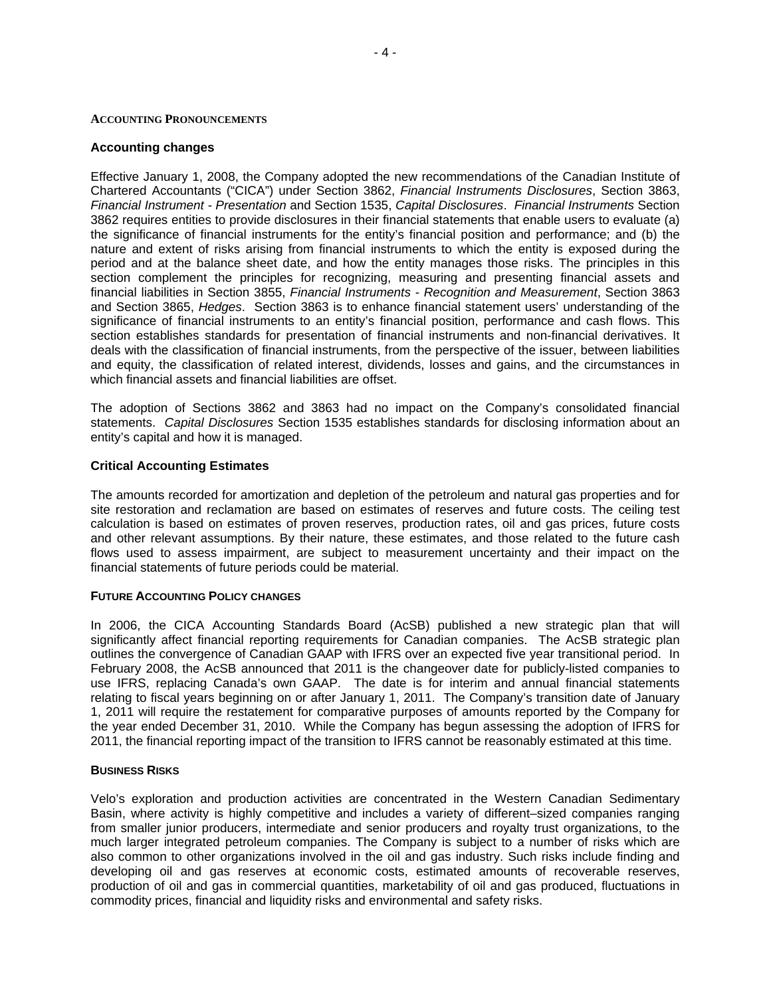#### **ACCOUNTING PRONOUNCEMENTS**

#### **Accounting changes**

Effective January 1, 2008, the Company adopted the new recommendations of the Canadian Institute of Chartered Accountants ("CICA") under Section 3862, *Financial Instruments Disclosures*, Section 3863, *Financial Instrument - Presentation* and Section 1535, *Capital Disclosures*. *Financial Instruments* Section 3862 requires entities to provide disclosures in their financial statements that enable users to evaluate (a) the significance of financial instruments for the entity's financial position and performance; and (b) the nature and extent of risks arising from financial instruments to which the entity is exposed during the period and at the balance sheet date, and how the entity manages those risks. The principles in this section complement the principles for recognizing, measuring and presenting financial assets and financial liabilities in Section 3855, *Financial Instruments - Recognition and Measurement*, Section 3863 and Section 3865, *Hedges*. Section 3863 is to enhance financial statement users' understanding of the significance of financial instruments to an entity's financial position, performance and cash flows. This section establishes standards for presentation of financial instruments and non-financial derivatives. It deals with the classification of financial instruments, from the perspective of the issuer, between liabilities and equity, the classification of related interest, dividends, losses and gains, and the circumstances in which financial assets and financial liabilities are offset.

The adoption of Sections 3862 and 3863 had no impact on the Company's consolidated financial statements. *Capital Disclosures* Section 1535 establishes standards for disclosing information about an entity's capital and how it is managed.

## **Critical Accounting Estimates**

The amounts recorded for amortization and depletion of the petroleum and natural gas properties and for site restoration and reclamation are based on estimates of reserves and future costs. The ceiling test calculation is based on estimates of proven reserves, production rates, oil and gas prices, future costs and other relevant assumptions. By their nature, these estimates, and those related to the future cash flows used to assess impairment, are subject to measurement uncertainty and their impact on the financial statements of future periods could be material.

# **FUTURE ACCOUNTING POLICY CHANGES**

In 2006, the CICA Accounting Standards Board (AcSB) published a new strategic plan that will significantly affect financial reporting requirements for Canadian companies. The AcSB strategic plan outlines the convergence of Canadian GAAP with IFRS over an expected five year transitional period. In February 2008, the AcSB announced that 2011 is the changeover date for publicly-listed companies to use IFRS, replacing Canada's own GAAP. The date is for interim and annual financial statements relating to fiscal years beginning on or after January 1, 2011. The Company's transition date of January 1, 2011 will require the restatement for comparative purposes of amounts reported by the Company for the year ended December 31, 2010. While the Company has begun assessing the adoption of IFRS for 2011, the financial reporting impact of the transition to IFRS cannot be reasonably estimated at this time.

#### **BUSINESS RISKS**

Velo's exploration and production activities are concentrated in the Western Canadian Sedimentary Basin, where activity is highly competitive and includes a variety of different–sized companies ranging from smaller junior producers, intermediate and senior producers and royalty trust organizations, to the much larger integrated petroleum companies. The Company is subject to a number of risks which are also common to other organizations involved in the oil and gas industry. Such risks include finding and developing oil and gas reserves at economic costs, estimated amounts of recoverable reserves, production of oil and gas in commercial quantities, marketability of oil and gas produced, fluctuations in commodity prices, financial and liquidity risks and environmental and safety risks.